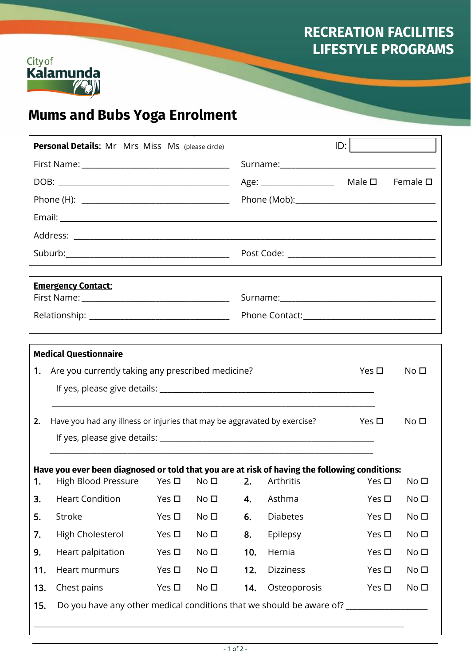# **RECREATION FACILITIES LIFESTYLE PROGRAMS**



 $\overline{\phantom{a}}$ 

# **Mums and Bubs Yoga Enrolment**

| <b>Personal Details:</b> Mr Mrs Miss Ms (please circle) |                                                                                                                                                                                            |                                                                                                              |                 |     | ID:                           |                                 |                 |  |
|---------------------------------------------------------|--------------------------------------------------------------------------------------------------------------------------------------------------------------------------------------------|--------------------------------------------------------------------------------------------------------------|-----------------|-----|-------------------------------|---------------------------------|-----------------|--|
|                                                         |                                                                                                                                                                                            |                                                                                                              |                 |     |                               |                                 |                 |  |
|                                                         |                                                                                                                                                                                            |                                                                                                              |                 |     | Age: ________________________ | Male $\square$ Female $\square$ |                 |  |
|                                                         |                                                                                                                                                                                            |                                                                                                              |                 |     |                               |                                 |                 |  |
|                                                         |                                                                                                                                                                                            |                                                                                                              |                 |     |                               |                                 |                 |  |
|                                                         |                                                                                                                                                                                            |                                                                                                              |                 |     |                               |                                 |                 |  |
|                                                         |                                                                                                                                                                                            |                                                                                                              |                 |     |                               |                                 |                 |  |
|                                                         |                                                                                                                                                                                            |                                                                                                              |                 |     |                               |                                 |                 |  |
| <b>Emergency Contact:</b>                               |                                                                                                                                                                                            |                                                                                                              |                 |     |                               |                                 |                 |  |
|                                                         |                                                                                                                                                                                            |                                                                                                              |                 |     |                               |                                 |                 |  |
|                                                         |                                                                                                                                                                                            |                                                                                                              |                 |     |                               |                                 |                 |  |
|                                                         | <b>Medical Questionnaire</b>                                                                                                                                                               |                                                                                                              |                 |     |                               |                                 |                 |  |
|                                                         | 1. Are you currently taking any prescribed medicine?<br>No <sub>D</sub><br>Yes $\square$                                                                                                   |                                                                                                              |                 |     |                               |                                 |                 |  |
|                                                         |                                                                                                                                                                                            |                                                                                                              |                 |     |                               |                                 |                 |  |
|                                                         |                                                                                                                                                                                            |                                                                                                              |                 |     |                               |                                 |                 |  |
| 2.                                                      |                                                                                                                                                                                            | Have you had any illness or injuries that may be aggravated by exercise?<br>Yes $\square$<br>No <sub>D</sub> |                 |     |                               |                                 |                 |  |
|                                                         |                                                                                                                                                                                            |                                                                                                              |                 |     |                               |                                 |                 |  |
|                                                         |                                                                                                                                                                                            |                                                                                                              |                 |     |                               |                                 |                 |  |
|                                                         | Have you ever been diagnosed or told that you are at risk of having the following conditions:<br>1. High Blood Pressure Yes $\square$ No $\square$ 2. Arthritis Yes $\square$ No $\square$ |                                                                                                              |                 |     |                               |                                 |                 |  |
| 3.                                                      | <b>Heart Condition</b>                                                                                                                                                                     | Yes $\square$                                                                                                | No <sub>D</sub> | 4.  | Asthma                        | Yes $\square$                   | No <sub>D</sub> |  |
| 5.                                                      | Stroke                                                                                                                                                                                     | Yes $\square$                                                                                                | No <sub>D</sub> | 6.  | <b>Diabetes</b>               | Yes $\square$                   | No <sub>D</sub> |  |
| 7.                                                      | High Cholesterol                                                                                                                                                                           | Yes $\square$                                                                                                | No <sub>D</sub> | 8.  | Epilepsy                      | Yes $\square$                   | No <sub>D</sub> |  |
| 9.                                                      | Heart palpitation                                                                                                                                                                          | Yes $\square$                                                                                                | No <sub>D</sub> | 10. | Hernia                        | Yes $\square$                   | No <sub>D</sub> |  |
| 11.                                                     | Heart murmurs                                                                                                                                                                              | Yes $\square$                                                                                                | No <sub>D</sub> | 12. | <b>Dizziness</b>              | Yes $\square$                   | No <sub>D</sub> |  |
| 13.                                                     | Chest pains                                                                                                                                                                                | Yes $\square$                                                                                                | No <sub>D</sub> | 14. | Osteoporosis                  | Yes $\square$                   | No <sub>D</sub> |  |
| 15.                                                     | Do you have any other medical conditions that we should be aware of? ____________                                                                                                          |                                                                                                              |                 |     |                               |                                 |                 |  |
|                                                         |                                                                                                                                                                                            |                                                                                                              |                 |     |                               |                                 |                 |  |